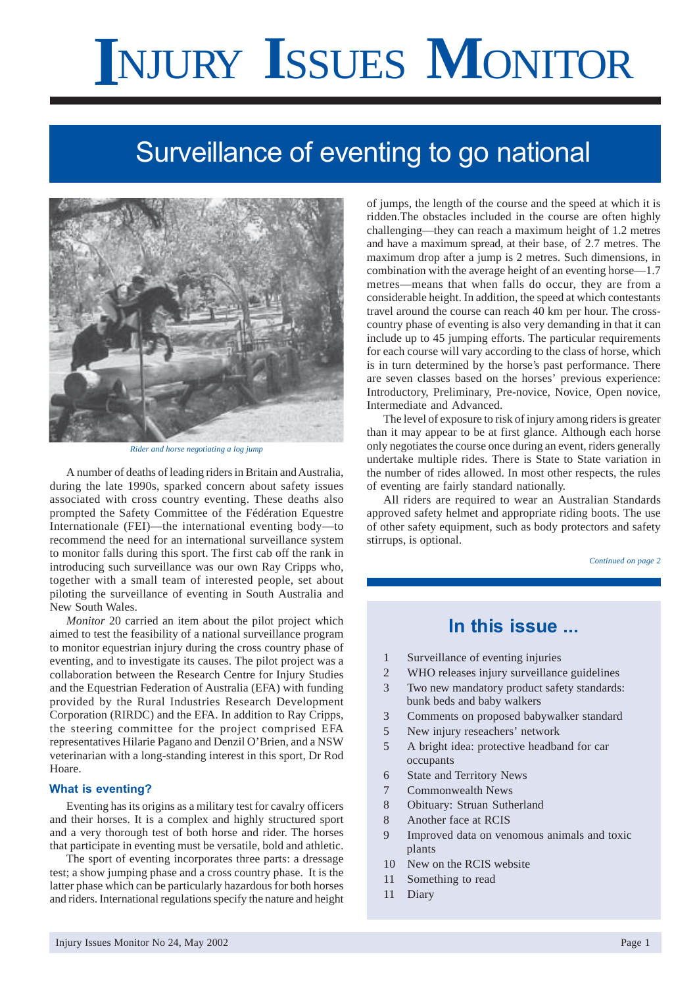# **I**NJURY **I**SSUES **M**ONITOR

## Surveillance of eventing to go national



*Rider and horse negotiating a log jump*

A number of deaths of leading riders in Britain and Australia, during the late 1990s, sparked concern about safety issues associated with cross country eventing. These deaths also prompted the Safety Committee of the Fédération Equestre Internationale (FEI)—the international eventing body—to recommend the need for an international surveillance system to monitor falls during this sport. The first cab off the rank in introducing such surveillance was our own Ray Cripps who, together with a small team of interested people, set about piloting the surveillance of eventing in South Australia and New South Wales.

*Monitor* 20 carried an item about the pilot project which aimed to test the feasibility of a national surveillance program to monitor equestrian injury during the cross country phase of eventing, and to investigate its causes. The pilot project was a collaboration between the Research Centre for Injury Studies and the Equestrian Federation of Australia (EFA) with funding provided by the Rural Industries Research Development Corporation (RIRDC) and the EFA. In addition to Ray Cripps, the steering committee for the project comprised EFA representatives Hilarie Pagano and Denzil O'Brien, and a NSW veterinarian with a long-standing interest in this sport, Dr Rod Hoare.

## **What is eventing?**

Eventing has its origins as a military test for cavalry officers and their horses. It is a complex and highly structured sport and a very thorough test of both horse and rider. The horses that participate in eventing must be versatile, bold and athletic.

The sport of eventing incorporates three parts: a dressage test; a show jumping phase and a cross country phase. It is the latter phase which can be particularly hazardous for both horses and riders. International regulations specify the nature and height

of jumps, the length of the course and the speed at which it is ridden.The obstacles included in the course are often highly challenging—they can reach a maximum height of 1.2 metres and have a maximum spread, at their base, of 2.7 metres. The maximum drop after a jump is 2 metres. Such dimensions, in combination with the average height of an eventing horse—1.7 metres—means that when falls do occur, they are from a considerable height. In addition, the speed at which contestants travel around the course can reach 40 km per hour. The crosscountry phase of eventing is also very demanding in that it can include up to 45 jumping efforts. The particular requirements for each course will vary according to the class of horse, which is in turn determined by the horse's past performance. There are seven classes based on the horses' previous experience: Introductory, Preliminary, Pre-novice, Novice, Open novice, Intermediate and Advanced.

The level of exposure to risk of injury among riders is greater than it may appear to be at first glance. Although each horse only negotiates the course once during an event, riders generally undertake multiple rides. There is State to State variation in the number of rides allowed. In most other respects, the rules of eventing are fairly standard nationally.

All riders are required to wear an Australian Standards approved safety helmet and appropriate riding boots. The use of other safety equipment, such as body protectors and safety stirrups, is optional.

*Continued on page 2*

## **In this issue ...**

- 1 Surveillance of eventing injuries
- 2 WHO releases injury surveillance guidelines
- 3 Two new mandatory product safety standards: bunk beds and baby walkers
- 3 Comments on proposed babywalker standard
- 5 New injury reseachers' network
- 5 A bright idea: protective headband for car occupants
- 6 State and Territory News
- 7 Commonwealth News
- 8 Obituary: Struan Sutherland
- 8 Another face at RCIS
- 9 Improved data on venomous animals and toxic plants
- 10 New on the RCIS website
- 11 Something to read
- 11 Diary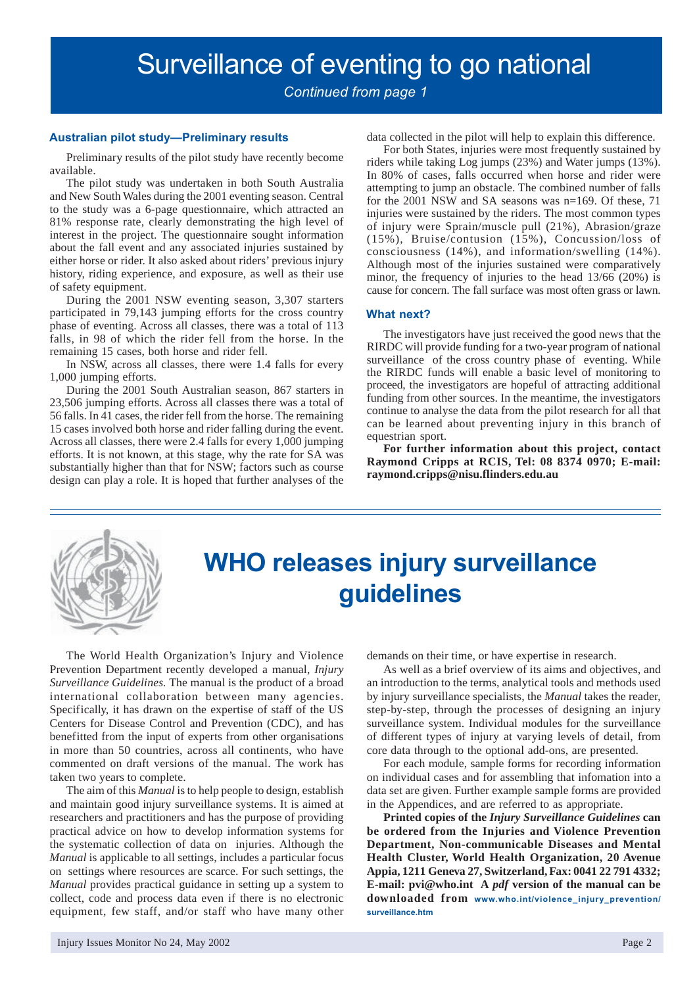## Surveillance of eventing to go national

*Continued from page 1*

## **Australian pilot study—Preliminary results**

Preliminary results of the pilot study have recently become available.

The pilot study was undertaken in both South Australia and New South Wales during the 2001 eventing season. Central to the study was a 6-page questionnaire, which attracted an 81% response rate, clearly demonstrating the high level of interest in the project. The questionnaire sought information about the fall event and any associated injuries sustained by either horse or rider. It also asked about riders' previous injury history, riding experience, and exposure, as well as their use of safety equipment.

During the 2001 NSW eventing season, 3,307 starters participated in 79,143 jumping efforts for the cross country phase of eventing. Across all classes, there was a total of 113 falls, in 98 of which the rider fell from the horse. In the remaining 15 cases, both horse and rider fell.

In NSW, across all classes, there were 1.4 falls for every 1,000 jumping efforts.

During the 2001 South Australian season, 867 starters in 23,506 jumping efforts. Across all classes there was a total of 56 falls. In 41 cases, the rider fell from the horse. The remaining 15 cases involved both horse and rider falling during the event. Across all classes, there were 2.4 falls for every 1,000 jumping efforts. It is not known, at this stage, why the rate for SA was substantially higher than that for NSW; factors such as course design can play a role. It is hoped that further analyses of the

data collected in the pilot will help to explain this difference.

For both States, injuries were most frequently sustained by riders while taking Log jumps (23%) and Water jumps (13%). In 80% of cases, falls occurred when horse and rider were attempting to jump an obstacle. The combined number of falls for the 2001 NSW and SA seasons was n=169. Of these, 71 injuries were sustained by the riders. The most common types of injury were Sprain/muscle pull (21%), Abrasion/graze (15%), Bruise/contusion (15%), Concussion/loss of consciousness (14%), and information/swelling (14%). Although most of the injuries sustained were comparatively minor, the frequency of injuries to the head 13/66 (20%) is cause for concern. The fall surface was most often grass or lawn.

## **What next?**

The investigators have just received the good news that the RIRDC will provide funding for a two-year program of national surveillance of the cross country phase of eventing. While the RIRDC funds will enable a basic level of monitoring to proceed, the investigators are hopeful of attracting additional funding from other sources. In the meantime, the investigators continue to analyse the data from the pilot research for all that can be learned about preventing injury in this branch of equestrian sport.

**For further information about this project, contact Raymond Cripps at RCIS, Tel: 08 8374 0970; E-mail: raymond.cripps@nisu.flinders.edu.au**



## **WHO releases injury surveillance guidelines**

The World Health Organization's Injury and Violence Prevention Department recently developed a manual, *Injury Surveillance Guidelines.* The manual is the product of a broad international collaboration between many agencies. Specifically, it has drawn on the expertise of staff of the US Centers for Disease Control and Prevention (CDC), and has benefitted from the input of experts from other organisations in more than 50 countries, across all continents, who have commented on draft versions of the manual. The work has taken two years to complete.

The aim of this *Manual* is to help people to design, establish and maintain good injury surveillance systems. It is aimed at researchers and practitioners and has the purpose of providing practical advice on how to develop information systems for the systematic collection of data on injuries. Although the *Manual* is applicable to all settings, includes a particular focus on settings where resources are scarce. For such settings, the *Manual* provides practical guidance in setting up a system to collect, code and process data even if there is no electronic equipment, few staff, and/or staff who have many other

demands on their time, or have expertise in research.

As well as a brief overview of its aims and objectives, and an introduction to the terms, analytical tools and methods used by injury surveillance specialists, the *Manual* takes the reader, step-by-step, through the processes of designing an injury surveillance system. Individual modules for the surveillance of different types of injury at varying levels of detail, from core data through to the optional add-ons, are presented.

For each module, sample forms for recording information on individual cases and for assembling that infomation into a data set are given. Further example sample forms are provided in the Appendices, and are referred to as appropriate.

**Printed copies of the** *Injury Surveillance Guidelines* **can be ordered from the Injuries and Violence Prevention Department, Non-communicable Diseases and Mental Health Cluster, World Health Organization, 20 Avenue Appia, 1211 Geneva 27, Switzerland, Fax: 0041 22 791 4332; E-mail: pvi@who.int A** *pdf* **version of the manual can be downloaded from www.who.int/violence\_injury\_prevention/ surveillance.htm**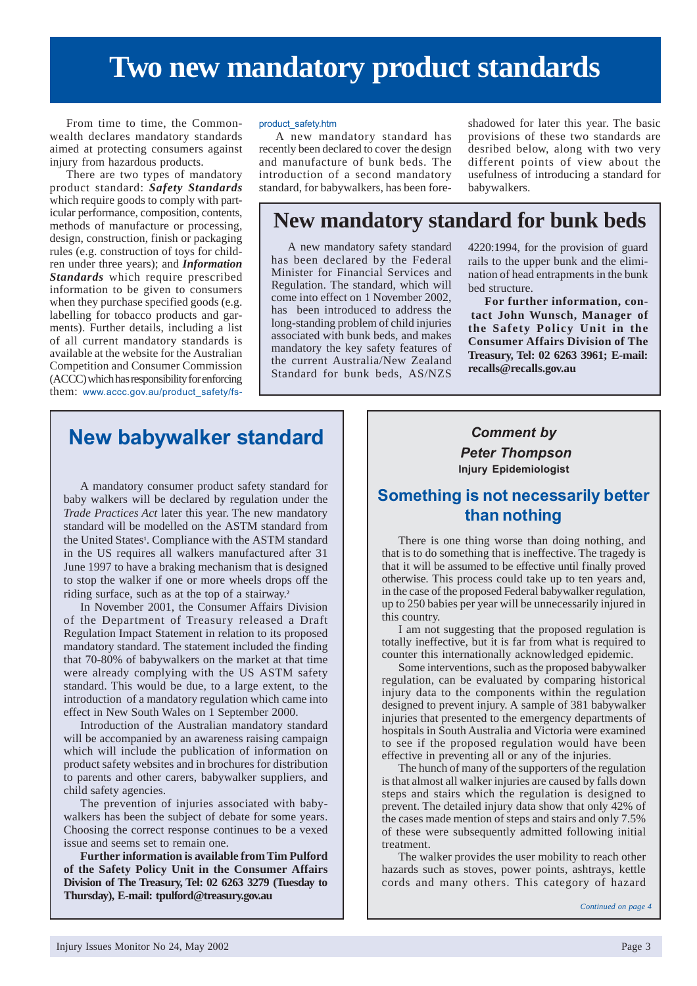## **Two new mandatory product standards**

From time to time, the Commonwealth declares mandatory standards aimed at protecting consumers against injury from hazardous products.

There are two types of mandatory product standard: *Safety Standards* which require goods to comply with particular performance, composition, contents, methods of manufacture or processing, design, construction, finish or packaging rules (e.g. construction of toys for children under three years); and *Information Standards* which require prescribed information to be given to consumers when they purchase specified goods (e.g. labelling for tobacco products and garments). Further details, including a list of all current mandatory standards is available at the website for the Australian Competition and Consumer Commission (ACCC) which has responsibility for enforcing them: www.accc.gov.au/product\_safety/fs-

## product\_safety.htm

A new mandatory standard has recently been declared to cover the design and manufacture of bunk beds. The introduction of a second mandatory standard, for babywalkers, has been foreshadowed for later this year. The basic provisions of these two standards are desribed below, along with two very different points of view about the usefulness of introducing a standard for babywalkers.

## **New mandatory standard for bunk beds**

A new mandatory safety standard has been declared by the Federal Minister for Financial Services and Regulation. The standard, which will come into effect on 1 November 2002, has been introduced to address the long-standing problem of child injuries associated with bunk beds, and makes mandatory the key safety features of the current Australia/New Zealand Standard for bunk beds, AS/NZS

4220:1994, for the provision of guard rails to the upper bunk and the elimination of head entrapments in the bunk bed structure.

**For further information, contact John Wunsch, Manager of the Safety Policy Unit in the Consumer Affairs Division of The Treasury, Tel: 02 6263 3961; E-mail: recalls@recalls.gov.au**

## **New babywalker standard** *Comment by*

A mandatory consumer product safety standard for baby walkers will be declared by regulation under the *Trade Practices Act* later this year. The new mandatory standard will be modelled on the ASTM standard from the United States**<sup>1</sup>** . Compliance with the ASTM standard in the US requires all walkers manufactured after 31 June 1997 to have a braking mechanism that is designed to stop the walker if one or more wheels drops off the riding surface, such as at the top of a stairway.**<sup>2</sup>**

In November 2001, the Consumer Affairs Division of the Department of Treasury released a Draft Regulation Impact Statement in relation to its proposed mandatory standard. The statement included the finding that 70-80% of babywalkers on the market at that time were already complying with the US ASTM safety standard. This would be due, to a large extent, to the introduction of a mandatory regulation which came into effect in New South Wales on 1 September 2000.

Introduction of the Australian mandatory standard will be accompanied by an awareness raising campaign which will include the publication of information on product safety websites and in brochures for distribution to parents and other carers, babywalker suppliers, and child safety agencies.

The prevention of injuries associated with babywalkers has been the subject of debate for some years. Choosing the correct response continues to be a vexed issue and seems set to remain one.

**Further information is available from Tim Pulford of the Safety Policy Unit in the Consumer Affairs Division of The Treasury, Tel: 02 6263 3279 (Tuesday to Thursday), E-mail: tpulford@treasury.gov.au**

## *Peter Thompson* **Injury Epidemiologist**

## **Something is not necessarily better than nothing**

There is one thing worse than doing nothing, and that is to do something that is ineffective. The tragedy is that it will be assumed to be effective until finally proved otherwise. This process could take up to ten years and, in the case of the proposed Federal babywalker regulation, up to 250 babies per year will be unnecessarily injured in this country.

I am not suggesting that the proposed regulation is totally ineffective, but it is far from what is required to counter this internationally acknowledged epidemic.

Some interventions, such as the proposed babywalker regulation, can be evaluated by comparing historical injury data to the components within the regulation designed to prevent injury. A sample of 381 babywalker injuries that presented to the emergency departments of hospitals in South Australia and Victoria were examined to see if the proposed regulation would have been effective in preventing all or any of the injuries.

The hunch of many of the supporters of the regulation is that almost all walker injuries are caused by falls down steps and stairs which the regulation is designed to prevent. The detailed injury data show that only 42% of the cases made mention of steps and stairs and only 7.5% of these were subsequently admitted following initial treatment.

The walker provides the user mobility to reach other hazards such as stoves, power points, ashtrays, kettle cords and many others. This category of hazard

*Continued on page 4*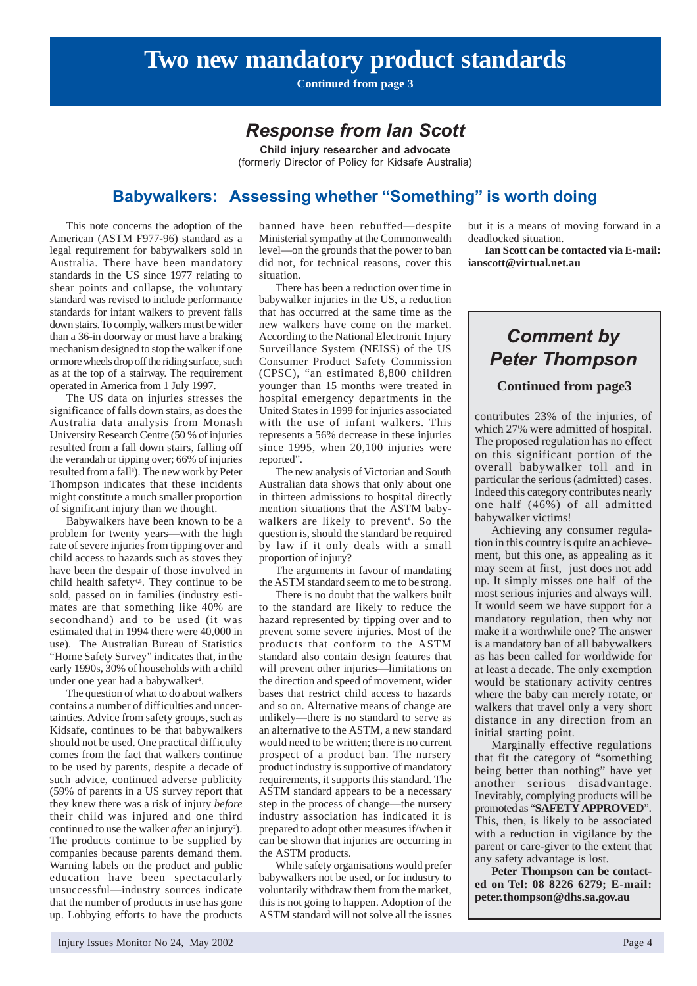## **Two new mandatory product standards**

**Continued from page 3**

## *Response from Ian Scott*

**Child injury researcher and advocate** (formerly Director of Policy for Kidsafe Australia)

## **Babywalkers: Assessing whether "Something" is worth doing**

This note concerns the adoption of the American (ASTM F977-96) standard as a legal requirement for babywalkers sold in Australia. There have been mandatory standards in the US since 1977 relating to shear points and collapse, the voluntary standard was revised to include performance standards for infant walkers to prevent falls down stairs. To comply, walkers must be wider than a 36-in doorway or must have a braking mechanism designed to stop the walker if one or more wheels drop off the riding surface, such as at the top of a stairway. The requirement operated in America from 1 July 1997.

The US data on injuries stresses the significance of falls down stairs, as does the Australia data analysis from Monash University Research Centre (50 % of injuries resulted from a fall down stairs, falling off the verandah or tipping over; 66% of injuries resulted from a fall**<sup>3</sup>** ). The new work by Peter Thompson indicates that these incidents might constitute a much smaller proportion of significant injury than we thought.

Babywalkers have been known to be a problem for twenty years—with the high rate of severe injuries from tipping over and child access to hazards such as stoves they have been the despair of those involved in child health safety**4,5**. They continue to be sold, passed on in families (industry estimates are that something like 40% are secondhand) and to be used (it was estimated that in 1994 there were 40,000 in use). The Australian Bureau of Statistics "Home Safety Survey" indicates that, in the early 1990s, 30% of households with a child under one year had a babywalker**<sup>6</sup>** .

The question of what to do about walkers contains a number of difficulties and uncertainties. Advice from safety groups, such as Kidsafe, continues to be that babywalkers should not be used. One practical difficulty comes from the fact that walkers continue to be used by parents, despite a decade of such advice, continued adverse publicity (59% of parents in a US survey report that they knew there was a risk of injury *before* their child was injured and one third continued to use the walker *after* an injury**<sup>7</sup>** ). The products continue to be supplied by companies because parents demand them. Warning labels on the product and public education have been spectacularly unsuccessful—industry sources indicate that the number of products in use has gone up. Lobbying efforts to have the products

banned have been rebuffed—despite Ministerial sympathy at the Commonwealth level—on the grounds that the power to ban did not, for technical reasons, cover this situation.

There has been a reduction over time in babywalker injuries in the US, a reduction that has occurred at the same time as the new walkers have come on the market. According to the National Electronic Injury Surveillance System (NEISS) of the US Consumer Product Safety Commission (CPSC), "an estimated 8,800 children younger than 15 months were treated in hospital emergency departments in the United States in 1999 for injuries associated with the use of infant walkers. This represents a 56% decrease in these injuries since 1995, when 20,100 injuries were reported".

The new analysis of Victorian and South Australian data shows that only about one in thirteen admissions to hospital directly mention situations that the ASTM babywalkers are likely to prevent**<sup>9</sup>** . So the question is, should the standard be required by law if it only deals with a small proportion of injury?

The arguments in favour of mandating the ASTM standard seem to me to be strong.

There is no doubt that the walkers built to the standard are likely to reduce the hazard represented by tipping over and to prevent some severe injuries. Most of the products that conform to the ASTM standard also contain design features that will prevent other injuries—limitations on the direction and speed of movement, wider bases that restrict child access to hazards and so on. Alternative means of change are unlikely—there is no standard to serve as an alternative to the ASTM, a new standard would need to be written; there is no current prospect of a product ban. The nursery product industry is supportive of mandatory requirements, it supports this standard. The ASTM standard appears to be a necessary step in the process of change—the nursery industry association has indicated it is prepared to adopt other measures if/when it can be shown that injuries are occurring in the ASTM products.

While safety organisations would prefer babywalkers not be used, or for industry to voluntarily withdraw them from the market, this is not going to happen. Adoption of the ASTM standard will not solve all the issues

## but it is a means of moving forward in a deadlocked situation.

**Ian Scott can be contacted via E-mail: ianscott@virtual.net.au**

## *Comment by Peter Thompson*

## **Continued from page3**

contributes 23% of the injuries, of which 27% were admitted of hospital. The proposed regulation has no effect on this significant portion of the overall babywalker toll and in particular the serious (admitted) cases. Indeed this category contributes nearly one half (46%) of all admitted babywalker victims!

Achieving any consumer regulation in this country is quite an achievement, but this one, as appealing as it may seem at first, just does not add up. It simply misses one half of the most serious injuries and always will. It would seem we have support for a mandatory regulation, then why not make it a worthwhile one? The answer is a mandatory ban of all babywalkers as has been called for worldwide for at least a decade. The only exemption would be stationary activity centres where the baby can merely rotate, or walkers that travel only a very short distance in any direction from an initial starting point.

Marginally effective regulations that fit the category of "something being better than nothing" have yet another serious disadvantage. Inevitably, complying products will be promoted as "**SAFETY APPROVED**". This, then, is likely to be associated with a reduction in vigilance by the parent or care-giver to the extent that any safety advantage is lost.

**Peter Thompson can be contacted on Tel: 08 8226 6279; E-mail: peter.thompson@dhs.sa.gov.au**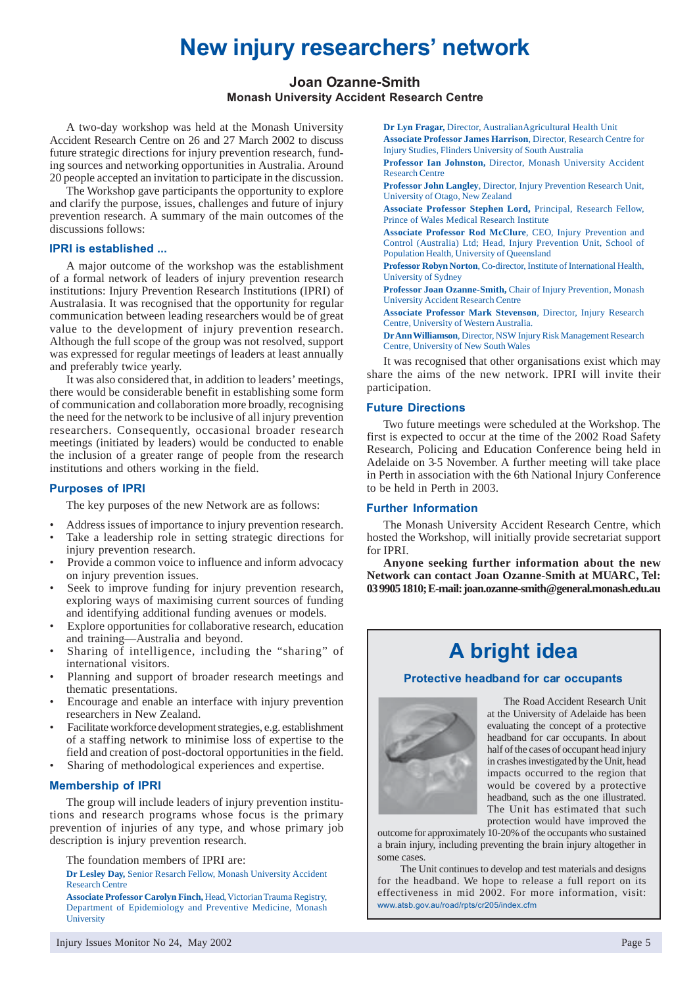## **New injury researchers' network**

## **Joan Ozanne-Smith Monash University Accident Research Centre**

A two-day workshop was held at the Monash University Accident Research Centre on 26 and 27 March 2002 to discuss future strategic directions for injury prevention research, funding sources and networking opportunities in Australia. Around 20 people accepted an invitation to participate in the discussion.

The Workshop gave participants the opportunity to explore and clarify the purpose, issues, challenges and future of injury prevention research. A summary of the main outcomes of the discussions follows:

## **IPRI is established ...**

A major outcome of the workshop was the establishment of a formal network of leaders of injury prevention research institutions: Injury Prevention Research Institutions (IPRI) of Australasia. It was recognised that the opportunity for regular communication between leading researchers would be of great value to the development of injury prevention research. Although the full scope of the group was not resolved, support was expressed for regular meetings of leaders at least annually and preferably twice yearly.

It was also considered that, in addition to leaders' meetings, there would be considerable benefit in establishing some form of communication and collaboration more broadly, recognising the need for the network to be inclusive of all injury prevention researchers. Consequently, occasional broader research meetings (initiated by leaders) would be conducted to enable the inclusion of a greater range of people from the research institutions and others working in the field.

## **Purposes of IPRI**

The key purposes of the new Network are as follows:

- Address issues of importance to injury prevention research.
- Take a leadership role in setting strategic directions for injury prevention research.
- Provide a common voice to influence and inform advocacy on injury prevention issues.
- Seek to improve funding for injury prevention research, exploring ways of maximising current sources of funding and identifying additional funding avenues or models.
- Explore opportunities for collaborative research, education and training—Australia and beyond.
- Sharing of intelligence, including the "sharing" of international visitors.
- Planning and support of broader research meetings and thematic presentations.
- Encourage and enable an interface with injury prevention researchers in New Zealand.
- Facilitate workforce development strategies, e.g. establishment of a staffing network to minimise loss of expertise to the field and creation of post-doctoral opportunities in the field.
- Sharing of methodological experiences and expertise.

## **Membership of IPRI**

The group will include leaders of injury prevention institutions and research programs whose focus is the primary prevention of injuries of any type, and whose primary job description is injury prevention research.

The foundation members of IPRI are:

**Dr Lesley Day,** Senior Resarch Fellow, Monash University Accident Research Centre

**Associate Professor Carolyn Finch,** Head, Victorian Trauma Registry, Department of Epidemiology and Preventive Medicine, Monash University

**Associate Professor James Harrison**, Director, Research Centre for Injury Studies, Flinders University of South Australia **Professor Ian Johnston,** Director, Monash University Accident Research Centre **Professor John Langley**, Director, Injury Prevention Research Unit, University of Otago, New Zealand **Associate Professor Stephen Lord,** Principal, Research Fellow, Prince of Wales Medical Research Institute **Associate Professor Rod McClure**, CEO, Injury Prevention and Control (Australia) Ltd; Head, Injury Prevention Unit, School of Population Health, University of Queensland **Professor Robyn Norton**, Co-director, Institute of International Health, University of Sydney **Professor Joan Ozanne-Smith,** Chair of Injury Prevention, Monash University Accident Research Centre **Associate Professor Mark Stevenson**, Director, Injury Research Centre, University of Western Australia. **Dr Ann Williamson**, Director, NSW Injury Risk Management Research Centre, University of New South Wales

**Dr Lyn Fragar,** Director, AustralianAgricultural Health Unit

It was recognised that other organisations exist which may share the aims of the new network. IPRI will invite their participation.

## **Future Directions**

Two future meetings were scheduled at the Workshop. The first is expected to occur at the time of the 2002 Road Safety Research, Policing and Education Conference being held in Adelaide on 3-5 November. A further meeting will take place in Perth in association with the 6th National Injury Conference to be held in Perth in 2003.

## **Further Information**

The Monash University Accident Research Centre, which hosted the Workshop, will initially provide secretariat support for IPRI.

**Anyone seeking further information about the new Network can contact Joan Ozanne-Smith at MUARC, Tel: 03 9905 1810; E-mail: joan.ozanne-smith@general.monash.edu.au**

## **A bright idea**

## **Protective headband for car occupants**



The Road Accident Research Unit at the University of Adelaide has been evaluating the concept of a protective headband for car occupants. In about half of the cases of occupant head injury in crashes investigated by the Unit, head impacts occurred to the region that would be covered by a protective headband, such as the one illustrated. The Unit has estimated that such protection would have improved the

outcome for approximately 10-20% of the occupants who sustained a brain injury, including preventing the brain injury altogether in some cases.

The Unit continues to develop and test materials and designs for the headband. We hope to release a full report on its effectiveness in mid 2002. For more information, visit: www.atsb.gov.au/road/rpts/cr205/index.cfm

Injury Issues Monitor No 24, May 2002 Page 5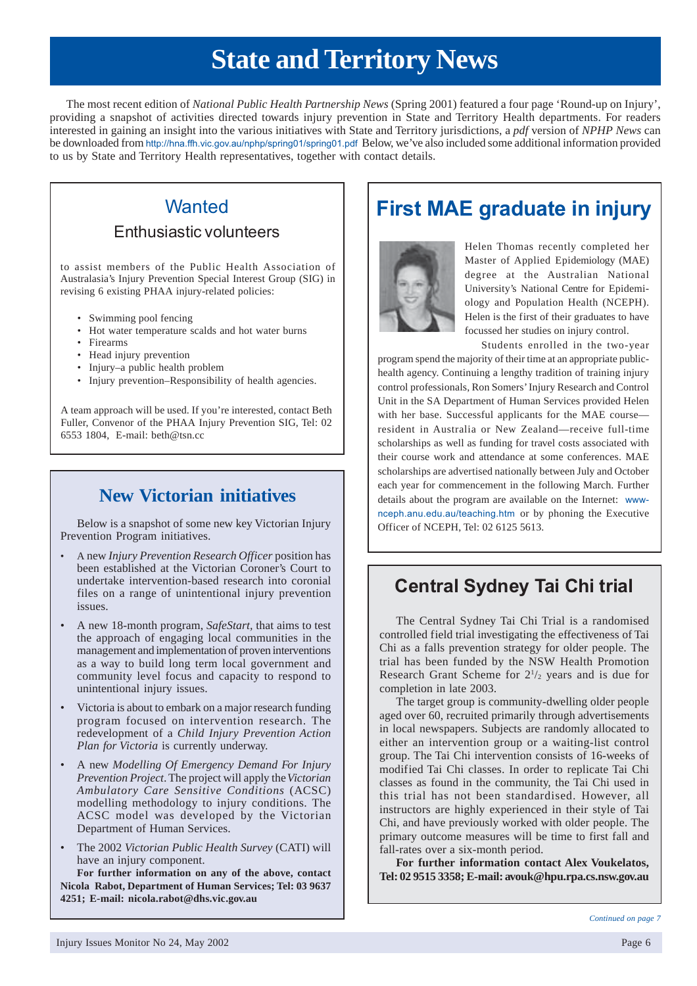## **State and Territory News**

The most recent edition of *National Public Health Partnership News* (Spring 2001) featured a four page 'Round-up on Injury', providing a snapshot of activities directed towards injury prevention in State and Territory Health departments. For readers interested in gaining an insight into the various initiatives with State and Territory jurisdictions, a *pdf* version of *NPHP News* can be downloaded from http://hna.ffh.vic.gov.au/nphp/spring01/spring01.pdf Below, we've also included some additional information provided to us by State and Territory Health representatives, together with contact details.

## **Wanted** Enthusiastic volunteers

to assist members of the Public Health Association of Australasia's Injury Prevention Special Interest Group (SIG) in revising 6 existing PHAA injury-related policies:

- Swimming pool fencing
- Hot water temperature scalds and hot water burns
- Firearms
- Head injury prevention
- Injury–a public health problem
- Injury prevention–Responsibility of health agencies.

A team approach will be used. If you're interested, contact Beth Fuller, Convenor of the PHAA Injury Prevention SIG, Tel: 02 6553 1804, E-mail: beth@tsn.cc

## **New Victorian initiatives**

Below is a snapshot of some new key Victorian Injury Prevention Program initiatives.

- A new *Injury Prevention Research Officer* position has been established at the Victorian Coroner's Court to undertake intervention-based research into coronial files on a range of unintentional injury prevention issues.
- A new 18-month program, *SafeStart,* that aims to test the approach of engaging local communities in the management and implementation of proven interventions as a way to build long term local government and community level focus and capacity to respond to unintentional injury issues.
- Victoria is about to embark on a major research funding program focused on intervention research. The redevelopment of a *Child Injury Prevention Action Plan for Victoria* is currently underway.
- A new *Modelling Of Emergency Demand For Injury Prevention Project*. The project will apply the*Victorian Ambulatory Care Sensitive Conditions* (ACSC) modelling methodology to injury conditions. The ACSC model was developed by the Victorian Department of Human Services.
- The 2002 *Victorian Public Health Survey* (CATI) will have an injury component.

**For further information on any of the above, contact Nicola Rabot, Department of Human Services; Tel: 03 9637 4251; E-mail: nicola.rabot@dhs.vic.gov.au**

## **First MAE graduate in injury**



Helen Thomas recently completed her Master of Applied Epidemiology (MAE) degree at the Australian National University's National Centre for Epidemiology and Population Health (NCEPH). Helen is the first of their graduates to have focussed her studies on injury control.

Students enrolled in the two-year

program spend the majority of their time at an appropriate publichealth agency. Continuing a lengthy tradition of training injury control professionals, Ron Somers' Injury Research and Control Unit in the SA Department of Human Services provided Helen with her base. Successful applicants for the MAE course resident in Australia or New Zealand—receive full-time scholarships as well as funding for travel costs associated with their course work and attendance at some conferences. MAE scholarships are advertised nationally between July and October each year for commencement in the following March. Further details about the program are available on the Internet: wwwnceph.anu.edu.au/teaching.htm or by phoning the Executive Officer of NCEPH, Tel: 02 6125 5613.

## **Central Sydney Tai Chi trial**

The Central Sydney Tai Chi Trial is a randomised controlled field trial investigating the effectiveness of Tai Chi as a falls prevention strategy for older people. The trial has been funded by the NSW Health Promotion Research Grant Scheme for  $2^{1/2}$  years and is due for completion in late 2003.

The target group is community-dwelling older people aged over 60, recruited primarily through advertisements in local newspapers. Subjects are randomly allocated to either an intervention group or a waiting-list control group. The Tai Chi intervention consists of 16-weeks of modified Tai Chi classes. In order to replicate Tai Chi classes as found in the community, the Tai Chi used in this trial has not been standardised. However, all instructors are highly experienced in their style of Tai Chi, and have previously worked with older people. The primary outcome measures will be time to first fall and fall-rates over a six-month period.

**For further information contact Alex Voukelatos, Tel: 02 9515 3358; E-mail: avouk@hpu.rpa.cs.nsw.gov.au**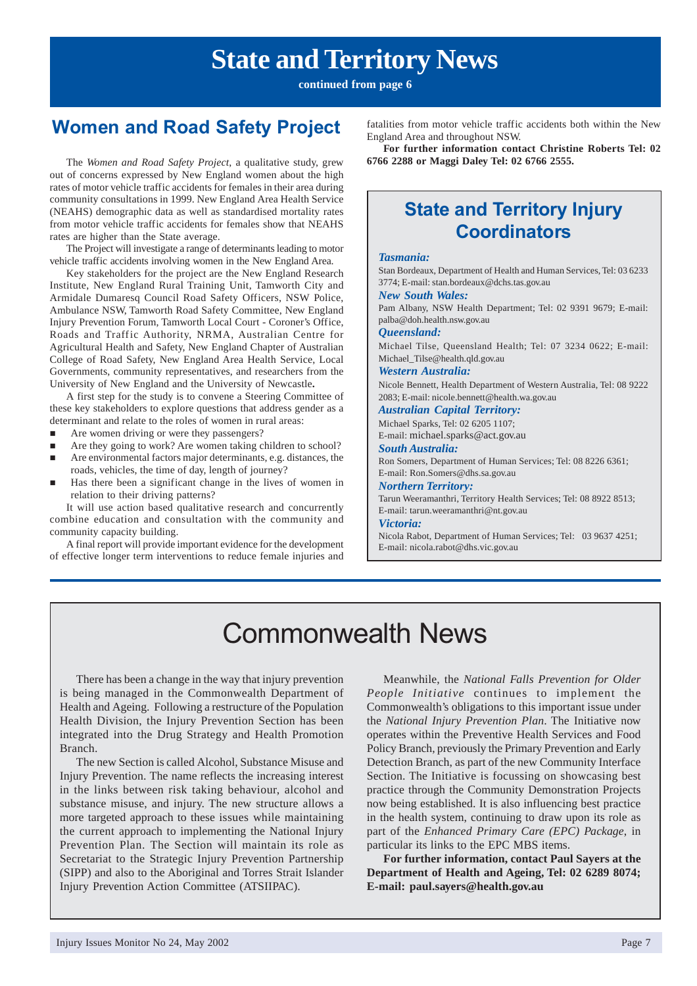## **State and Territory News**

**continued from page 6**

## **Women and Road Safety Project**

The *Women and Road Safety Project*, a qualitative study, grew out of concerns expressed by New England women about the high rates of motor vehicle traffic accidents for females in their area during community consultations in 1999. New England Area Health Service (NEAHS) demographic data as well as standardised mortality rates from motor vehicle traffic accidents for females show that NEAHS rates are higher than the State average.

The Project will investigate a range of determinants leading to motor vehicle traffic accidents involving women in the New England Area.

Key stakeholders for the project are the New England Research Institute, New England Rural Training Unit, Tamworth City and Armidale Dumaresq Council Road Safety Officers, NSW Police, Ambulance NSW, Tamworth Road Safety Committee, New England Injury Prevention Forum, Tamworth Local Court - Coroner's Office, Roads and Traffic Authority, NRMA, Australian Centre for Agricultural Health and Safety, New England Chapter of Australian College of Road Safety, New England Area Health Service, Local Governments, community representatives, and researchers from the University of New England and the University of Newcastle**.**

A first step for the study is to convene a Steering Committee of these key stakeholders to explore questions that address gender as a determinant and relate to the roles of women in rural areas:

- Are women driving or were they passengers?
- Are they going to work? Are women taking children to school?
- Are environmental factors major determinants, e.g. distances, the roads, vehicles, the time of day, length of journey?
- Has there been a significant change in the lives of women in relation to their driving patterns?

It will use action based qualitative research and concurrently combine education and consultation with the community and community capacity building.

A final report will provide important evidence for the development of effective longer term interventions to reduce female injuries and

fatalities from motor vehicle traffic accidents both within the New England Area and throughout NSW.

**For further information contact Christine Roberts Tel: 02 6766 2288 or Maggi Daley Tel: 02 6766 2555.**

## **State and Territory Injury Coordinators**

### *Tasmania:*

Stan Bordeaux, Department of Health and Human Services, Tel: 03 6233 3774; E-mail: stan.bordeaux@dchs.tas.gov.au *New South Wales:* Pam Albany, NSW Health Department; Tel: 02 9391 9679; E-mail: palba@doh.health.nsw.gov.au *Queensland:*

Michael Tilse, Queensland Health; Tel: 07 3234 0622; E-mail: Michael\_Tilse@health.qld.gov.au

### *Western Australia:*

Nicole Bennett, Health Department of Western Australia, Tel: 08 9222 2083; E-mail: nicole.bennett@health.wa.gov.au

## *Australian Capital Territory:*

Michael Sparks, Tel: 02 6205 1107; E-mail: michael.sparks@act.gov.au

*South Australia:*

Ron Somers, Department of Human Services; Tel: 08 8226 6361; E-mail: Ron.Somers@dhs.sa.gov.au

*Northern Territory:* Tarun Weeramanthri, Territory Health Services; Tel: 08 8922 8513; E-mail: tarun.weeramanthri@nt.gov.au

### *Victoria:*

Nicola Rabot, Department of Human Services; Tel: 03 9637 4251; E-mail: nicola.rabot@dhs.vic.gov.au

## Commonwealth News

There has been a change in the way that injury prevention is being managed in the Commonwealth Department of Health and Ageing. Following a restructure of the Population Health Division, the Injury Prevention Section has been integrated into the Drug Strategy and Health Promotion Branch.

The new Section is called Alcohol, Substance Misuse and Injury Prevention. The name reflects the increasing interest in the links between risk taking behaviour, alcohol and substance misuse, and injury. The new structure allows a more targeted approach to these issues while maintaining the current approach to implementing the National Injury Prevention Plan. The Section will maintain its role as Secretariat to the Strategic Injury Prevention Partnership (SIPP) and also to the Aboriginal and Torres Strait Islander Injury Prevention Action Committee (ATSIIPAC).

Meanwhile, the *National Falls Prevention for Older People Initiative* continues to implement the Commonwealth's obligations to this important issue under the *National Injury Prevention Plan*. The Initiative now operates within the Preventive Health Services and Food Policy Branch, previously the Primary Prevention and Early Detection Branch, as part of the new Community Interface Section. The Initiative is focussing on showcasing best practice through the Community Demonstration Projects now being established. It is also influencing best practice in the health system, continuing to draw upon its role as part of the *Enhanced Primary Care (EPC) Package*, in particular its links to the EPC MBS items.

**For further information, contact Paul Sayers at the Department of Health and Ageing, Tel: 02 6289 8074; E-mail: paul.sayers@health.gov.au**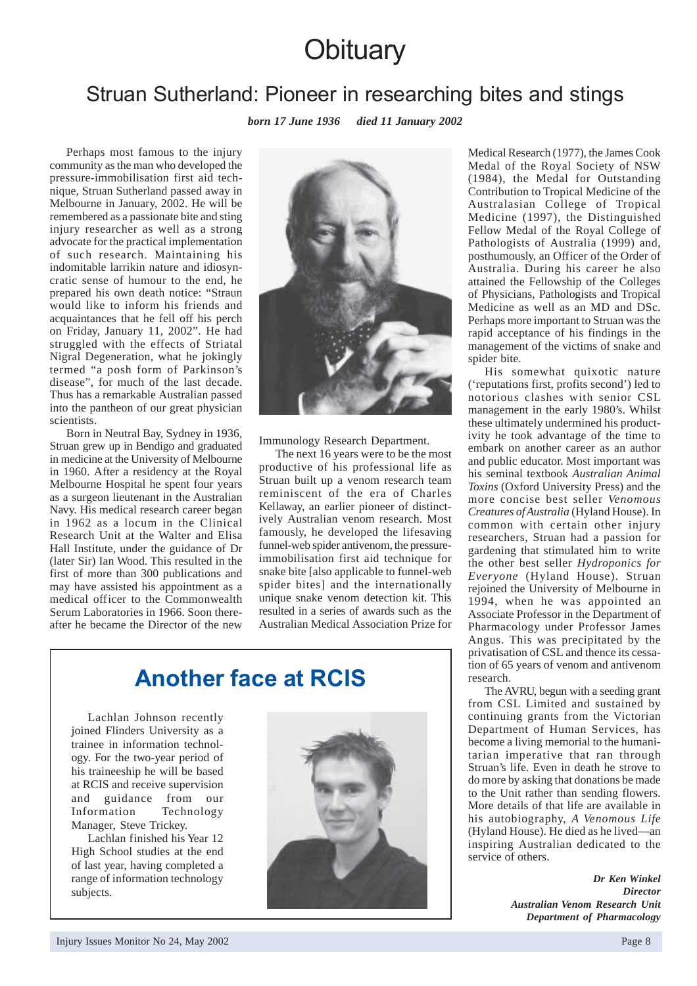## **Obituary**

## Struan Sutherland: Pioneer in researching bites and stings

*born 17 June 1936 died 11 January 2002*

Perhaps most famous to the injury community as the man who developed the pressure-immobilisation first aid technique, Struan Sutherland passed away in Melbourne in January, 2002. He will be remembered as a passionate bite and sting injury researcher as well as a strong advocate for the practical implementation of such research. Maintaining his indomitable larrikin nature and idiosyncratic sense of humour to the end, he prepared his own death notice: "Straun would like to inform his friends and acquaintances that he fell off his perch on Friday, January 11, 2002". He had struggled with the effects of Striatal Nigral Degeneration, what he jokingly termed "a posh form of Parkinson's disease", for much of the last decade. Thus has a remarkable Australian passed into the pantheon of our great physician scientists.

Born in Neutral Bay, Sydney in 1936, Struan grew up in Bendigo and graduated in medicine at the University of Melbourne in 1960. After a residency at the Royal Melbourne Hospital he spent four years as a surgeon lieutenant in the Australian Navy. His medical research career began in 1962 as a locum in the Clinical Research Unit at the Walter and Elisa Hall Institute, under the guidance of Dr (later Sir) Ian Wood. This resulted in the first of more than 300 publications and may have assisted his appointment as a medical officer to the Commonwealth Serum Laboratories in 1966. Soon thereafter he became the Director of the new



Immunology Research Department.

The next 16 years were to be the most productive of his professional life as Struan built up a venom research team reminiscent of the era of Charles Kellaway, an earlier pioneer of distinctively Australian venom research. Most famously, he developed the lifesaving funnel-web spider antivenom, the pressureimmobilisation first aid technique for snake bite [also applicable to funnel-web spider bites] and the internationally unique snake venom detection kit. This resulted in a series of awards such as the Australian Medical Association Prize for

## **Another face at RCIS**

Lachlan Johnson recently joined Flinders University as a trainee in information technology. For the two-year period of his traineeship he will be based at RCIS and receive supervision and guidance from our Information Technology Manager, Steve Trickey.

Lachlan finished his Year 12 High School studies at the end of last year, having completed a range of information technology subjects.



Medical Research (1977), the James Cook Medal of the Royal Society of NSW (1984), the Medal for Outstanding Contribution to Tropical Medicine of the Australasian College of Tropical Medicine (1997), the Distinguished Fellow Medal of the Royal College of Pathologists of Australia (1999) and, posthumously, an Officer of the Order of Australia. During his career he also attained the Fellowship of the Colleges of Physicians, Pathologists and Tropical Medicine as well as an MD and DSc. Perhaps more important to Struan was the rapid acceptance of his findings in the management of the victims of snake and spider bite.

His somewhat quixotic nature ('reputations first, profits second') led to notorious clashes with senior CSL management in the early 1980's. Whilst these ultimately undermined his productivity he took advantage of the time to embark on another career as an author and public educator. Most important was his seminal textbook *Australian Animal Toxins* (Oxford University Press) and the more concise best seller *Venomous Creatures of Australia* (Hyland House). In common with certain other injury researchers, Struan had a passion for gardening that stimulated him to write the other best seller *Hydroponics for Everyone* (Hyland House). Struan rejoined the University of Melbourne in 1994, when he was appointed an Associate Professor in the Department of Pharmacology under Professor James Angus. This was precipitated by the privatisation of CSL and thence its cessation of 65 years of venom and antivenom research.

The AVRU, begun with a seeding grant from CSL Limited and sustained by continuing grants from the Victorian Department of Human Services, has become a living memorial to the humanitarian imperative that ran through Struan's life. Even in death he strove to do more by asking that donations be made to the Unit rather than sending flowers. More details of that life are available in his autobiography, *A Venomous Life* (Hyland House). He died as he lived—an inspiring Australian dedicated to the service of others.

> *Dr Ken Winkel Director Australian Venom Research Unit Department of Pharmacology*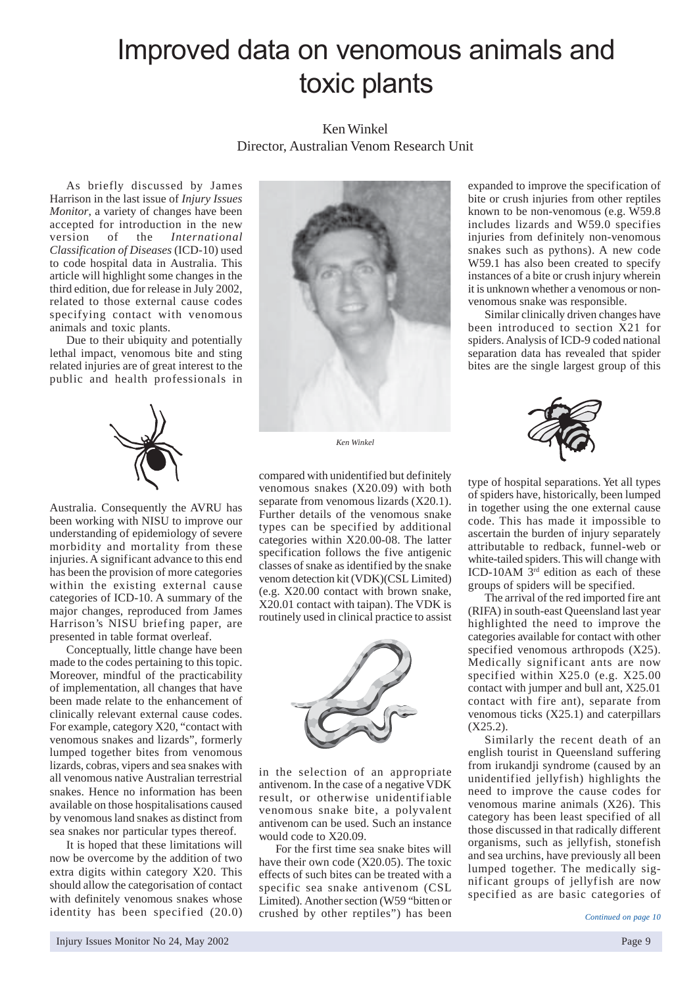## Improved data on venomous animals and toxic plants

Ken Winkel Director, Australian Venom Research Unit

As briefly discussed by James Harrison in the last issue of *Injury Issues Monitor*, a variety of changes have been accepted for introduction in the new<br>version of the *International*  $International$ *Classification of Diseases* (ICD-10) used to code hospital data in Australia. This article will highlight some changes in the third edition, due for release in July 2002, related to those external cause codes specifying contact with venomous animals and toxic plants.

Due to their ubiquity and potentially lethal impact, venomous bite and sting related injuries are of great interest to the public and health professionals in



Australia. Consequently the AVRU has been working with NISU to improve our understanding of epidemiology of severe morbidity and mortality from these injuries. A significant advance to this end has been the provision of more categories within the existing external cause categories of ICD-10. A summary of the major changes, reproduced from James Harrison's NISU briefing paper, are presented in table format overleaf.

Conceptually, little change have been made to the codes pertaining to this topic. Moreover, mindful of the practicability of implementation, all changes that have been made relate to the enhancement of clinically relevant external cause codes. For example, category X20, "contact with venomous snakes and lizards", formerly lumped together bites from venomous lizards, cobras, vipers and sea snakes with all venomous native Australian terrestrial snakes. Hence no information has been available on those hospitalisations caused by venomous land snakes as distinct from sea snakes nor particular types thereof.

It is hoped that these limitations will now be overcome by the addition of two extra digits within category X20. This should allow the categorisation of contact with definitely venomous snakes whose identity has been specified (20.0)



compared with unidentified but definitely venomous snakes (X20.09) with both separate from venomous lizards (X20.1). Further details of the venomous snake types can be specified by additional categories within X20.00-08. The latter specification follows the five antigenic classes of snake as identified by the snake venom detection kit (VDK)(CSL Limited) (e.g. X20.00 contact with brown snake, X20.01 contact with taipan). The VDK is routinely used in clinical practice to assist



in the selection of an appropriate antivenom. In the case of a negative VDK result, or otherwise unidentifiable venomous snake bite, a polyvalent antivenom can be used. Such an instance would code to X20.09.

For the first time sea snake bites will have their own code (X20.05). The toxic effects of such bites can be treated with a specific sea snake antivenom (CSL Limited). Another section (W59 "bitten or crushed by other reptiles") has been expanded to improve the specification of bite or crush injuries from other reptiles known to be non-venomous (e.g. W59.8 includes lizards and W59.0 specifies injuries from definitely non-venomous snakes such as pythons). A new code W59.1 has also been created to specify instances of a bite or crush injury wherein it is unknown whether a venomous or nonvenomous snake was responsible.

Similar clinically driven changes have been introduced to section X21 for spiders. Analysis of ICD-9 coded national separation data has revealed that spider bites are the single largest group of this



type of hospital separations. Yet all types of spiders have, historically, been lumped in together using the one external cause code. This has made it impossible to ascertain the burden of injury separately attributable to redback, funnel-web or white-tailed spiders. This will change with ICD-10AM  $3<sup>rd</sup>$  edition as each of these groups of spiders will be specified.

The arrival of the red imported fire ant (RIFA) in south-east Queensland last year highlighted the need to improve the categories available for contact with other specified venomous arthropods  $(X25)$ . Medically significant ants are now specified within X25.0 (e.g. X25.00 contact with jumper and bull ant, X25.01 contact with fire ant), separate from venomous ticks (X25.1) and caterpillars (X25.2).

Similarly the recent death of an english tourist in Queensland suffering from irukandii syndrome (caused by an unidentified jellyfish) highlights the need to improve the cause codes for venomous marine animals (X26). This category has been least specified of all those discussed in that radically different organisms, such as jellyfish, stonefish and sea urchins, have previously all been lumped together. The medically significant groups of jellyfish are now specified as are basic categories of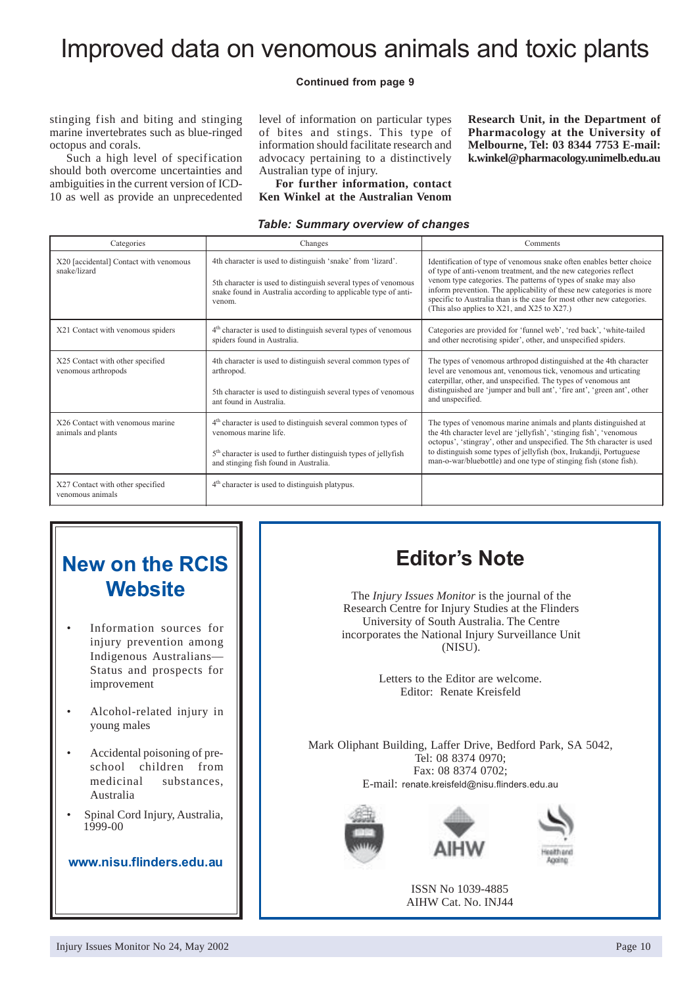## Improved data on venomous animals and toxic plants

## **Continued from page 9**

stinging fish and biting and stinging marine invertebrates such as blue-ringed octopus and corals.

Such a high level of specification should both overcome uncertainties and ambiguities in the current version of ICD-10 as well as provide an unprecedented level of information on particular types of bites and stings. This type of information should facilitate research and advocacy pertaining to a distinctively Australian type of injury.

**For further information, contact Ken Winkel at the Australian Venom**

## **Research Unit, in the Department of Pharmacology at the University of Melbourne, Tel: 03 8344 7753 E-mail: k.winkel@pharmacology.unimelb.edu.au**

## *Table: Summary overview of changes*

| Categories                                              | Changes                                                                                                                                                                                                         | Comments                                                                                                                                                                                                                                                                                                                                                                                                  |
|---------------------------------------------------------|-----------------------------------------------------------------------------------------------------------------------------------------------------------------------------------------------------------------|-----------------------------------------------------------------------------------------------------------------------------------------------------------------------------------------------------------------------------------------------------------------------------------------------------------------------------------------------------------------------------------------------------------|
| X20 [accidental] Contact with venomous<br>snake/lizard  | 4th character is used to distinguish 'snake' from 'lizard'.<br>5th character is used to distinguish several types of venomous<br>snake found in Australia according to applicable type of anti-<br>venom.       | Identification of type of venomous snake often enables better choice<br>of type of anti-venom treatment, and the new categories reflect<br>venom type categories. The patterns of types of snake may also<br>inform prevention. The applicability of these new categories is more<br>specific to Australia than is the case for most other new categories.<br>(This also applies to X21, and X25 to X27.) |
| X21 Contact with venomous spiders                       | 4 <sup>th</sup> character is used to distinguish several types of venomous<br>spiders found in Australia.                                                                                                       | Categories are provided for 'funnel web', 'red back', 'white-tailed<br>and other necrotising spider', other, and unspecified spiders.                                                                                                                                                                                                                                                                     |
| X25 Contact with other specified<br>venomous arthropods | 4th character is used to distinguish several common types of<br>arthropod.<br>5th character is used to distinguish several types of venomous<br>ant found in Australia.                                         | The types of venomous arthropod distinguished at the 4th character<br>level are venomous ant, venomous tick, venomous and urticating<br>caterpillar, other, and unspecified. The types of venomous ant<br>distinguished are 'jumper and bull ant', 'fire ant', 'green ant', other<br>and unspecified.                                                                                                     |
| X26 Contact with venomous marine<br>animals and plants  | 4 <sup>th</sup> character is used to distinguish several common types of<br>venomous marine life.<br>$5th$ character is used to further distinguish types of jellyfish<br>and stinging fish found in Australia. | The types of venomous marine animals and plants distinguished at<br>the 4th character level are 'jellyfish', 'stinging fish', 'venomous<br>octopus', 'stingray', other and unspecified. The 5th character is used<br>to distinguish some types of jellyfish (box, Irukandji, Portuguese<br>man-o-war/bluebottle) and one type of stinging fish (stone fish).                                              |
| X27 Contact with other specified<br>venomous animals    | 4 <sup>th</sup> character is used to distinguish platypus.                                                                                                                                                      |                                                                                                                                                                                                                                                                                                                                                                                                           |

## **New on the RCIS Editor's Note Website**

- Information sources for injury prevention among Indigenous Australians— Status and prospects for improvement
- Alcohol-related injury in young males
- Accidental poisoning of preschool children from medicinal substances, Australia
- Spinal Cord Injury, Australia, 1999-00

## **www.nisu.flinders.edu.au**

The *Injury Issues Monitor* is the journal of the Research Centre for Injury Studies at the Flinders University of South Australia. The Centre incorporates the National Injury Surveillance Unit (NISU).

> Letters to the Editor are welcome. Editor: Renate Kreisfeld

Mark Oliphant Building, Laffer Drive, Bedford Park, SA 5042, Tel: 08 8374 0970; Fax: 08 8374 0702; E-mail: renate.kreisfeld@nisu.flinders.edu.au







ISSN No 1039-4885 AIHW Cat. No. INJ44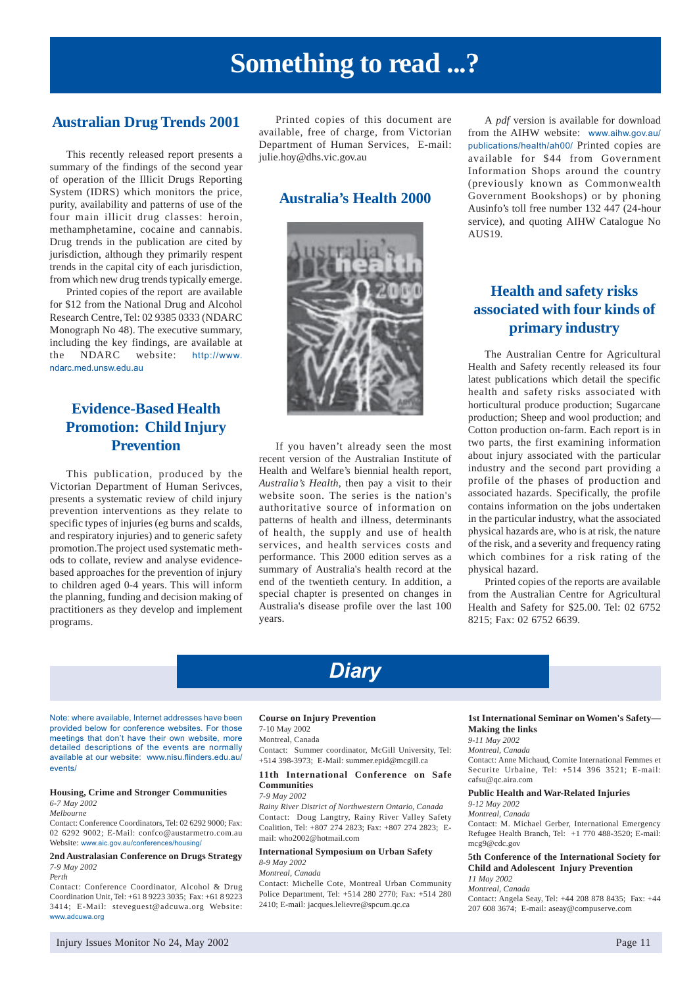## **Something to read ...?**

## **Australian Drug Trends 2001**

This recently released report presents a summary of the findings of the second year of operation of the Illicit Drugs Reporting System (IDRS) which monitors the price, purity, availability and patterns of use of the four main illicit drug classes: heroin, methamphetamine, cocaine and cannabis. Drug trends in the publication are cited by jurisdiction, although they primarily respent trends in the capital city of each jurisdiction, from which new drug trends typically emerge.

Printed copies of the report are available for \$12 from the National Drug and Alcohol Research Centre, Tel: 02 9385 0333 (NDARC Monograph No 48). The executive summary, including the key findings, are available at the NDARC website: http://www. ndarc.med.unsw.edu.au

## **Evidence-Based Health Promotion: Child Injury Prevention**

This publication, produced by the Victorian Department of Human Serivces, presents a systematic review of child injury prevention interventions as they relate to specific types of injuries (eg burns and scalds, and respiratory injuries) and to generic safety promotion.The project used systematic methods to collate, review and analyse evidencebased approaches for the prevention of injury to children aged 0-4 years. This will inform the planning, funding and decision making of practitioners as they develop and implement programs.

Printed copies of this document are available, free of charge, from Victorian Department of Human Services, E-mail: julie.hoy@dhs.vic.gov.au

## **Australia's Health 2000**



If you haven't already seen the most recent version of the Australian Institute of Health and Welfare's biennial health report, *Australia's Health*, then pay a visit to their website soon. The series is the nation's authoritative source of information on patterns of health and illness, determinants of health, the supply and use of health services, and health services costs and performance. This 2000 edition serves as a summary of Australia's health record at the end of the twentieth century. In addition, a special chapter is presented on changes in Australia's disease profile over the last 100 years.

A *pdf* version is available for download from the AIHW website: www.aihw.gov.au/ publications/health/ah00/ Printed copies are available for \$44 from Government Information Shops around the country (previously known as Commonwealth Government Bookshops) or by phoning Ausinfo's toll free number 132 447 (24-hour service), and quoting AIHW Catalogue No AUS<sub>19</sub>.

## **Health and safety risks associated with four kinds of primary industry**

The Australian Centre for Agricultural Health and Safety recently released its four latest publications which detail the specific health and safety risks associated with horticultural produce production; Sugarcane production; Sheep and wool production; and Cotton production on-farm. Each report is in two parts, the first examining information about injury associated with the particular industry and the second part providing a profile of the phases of production and associated hazards. Specifically, the profile contains information on the jobs undertaken in the particular industry, what the associated physical hazards are, who is at risk, the nature of the risk, and a severity and frequency rating which combines for a risk rating of the physical hazard.

Printed copies of the reports are available from the Australian Centre for Agricultural Health and Safety for \$25.00. Tel: 02 6752 8215; Fax: 02 6752 6639.



Note: where available, Internet addresses have been provided below for conference websites. For those meetings that don't have their own website, more detailed descriptions of the events are normally available at our website: www.nisu.flinders.edu.au/ events/

### **Housing, Crime and Stronger Communities** *6-7 May 2002*

*Melbourne*

Contact: Conference Coordinators, Tel: 02 6292 9000; Fax: 02 6292 9002; E-Mail: confco@austarmetro.com.au Website: www.aic.gov.au/conferences/housing/

### **2nd Australasian Conference on Drugs Strategy** *7-9 May 2002 Perth*

Contact: Conference Coordinator, Alcohol & Drug Coordination Unit, Tel: +61 8 9223 3035; Fax: +61 8 9223 3414; E-Mail: steveguest@adcuwa.org Website: www.adcuwa.org

### **Course on Injury Prevention**

7-10 May 2002

Montreal, Canada

### Contact: Summer coordinator, McGill University, Tel: +514 398-3973; E-Mail: summer.epid@mcgill.ca

### **11th International Conference on Safe Communities** *7-9 May 2002*

*Rainy River District of Northwestern Ontario, Canada* Contact: Doug Langtry, Rainy River Valley Safety Coalition, Tel: +807 274 2823; Fax: +807 274 2823; Email: who2002@hotmail.com

### **International Symposium on Urban Safety** *8-9 May 2002*

*Montreal, Canada*

Contact: Michelle Cote, Montreal Urban Community Police Department, Tel: +514 280 2770; Fax: +514 280 2410; E-mail: jacques.lelievre@spcum.qc.ca

### **1st International Seminar on Women's Safety— Making the links**

*9-11 May 2002 Montreal, Canada* Contact: Anne Michaud, Comite International Femmes et Securite Urbaine, Tel: +514 396 3521; E-mail: cafsu@qc.aira.com

## **Public Health and War-Related Injuries**

*9-12 May 2002*

*Montreal, Canada* Contact: M. Michael Gerber, International Emergency Refugee Health Branch, Tel: +1 770 488-3520; E-mail: mcg9@cdc.gov

### **5th Conference of the International Society for Child and Adolescent Injury Prevention** *11 May 2002*

*Montreal, Canada*

Contact: Angela Seay, Tel: +44 208 878 8435; Fax: +44 207 608 3674; E-mail: aseay@compuserve.com